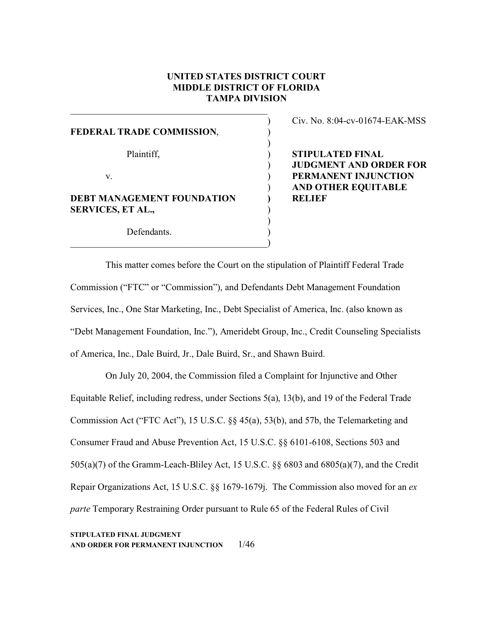# **UNITED STATES DISTRICT COURT MIDDLE DISTRICT OF FLORIDA TAMPA DIVISION**

 $\lambda$ 

)

)

)

)

FEDERAL TRADE COMMISSION,

Plaintiff,  $\qquad \qquad$ )

 $\mathbf v.$  )

**DEBT MANAGEMENT FOUNDATION )** SERVICES, ET AL.,

 $\hspace{.5cm}$   $\hspace{.5cm}$   $\hspace{.5cm}$   $\hspace{.5cm}$   $\hspace{.5cm}$   $\hspace{.5cm}$   $\hspace{.5cm}$   $\hspace{.5cm}$   $\hspace{.5cm}$   $\hspace{.5cm}$   $\hspace{.5cm}$   $\hspace{.5cm}$   $\hspace{.5cm}$   $\hspace{.5cm}$   $\hspace{.5cm}$   $\hspace{.5cm}$   $\hspace{.5cm}$   $\hspace{.5cm}$   $\hspace{.5cm}$   $\hspace{.5cm}$ 

Defendants.

Civ. No. 8:04-cv-01674-EAK-MSS

**STIPULATED FINAL JUDGMENT AND ORDER FOR PERMANENT INJUNCTION AND OTHER EQUITABLE RELIEF** 

This matter comes before the Court on the stipulation of Plaintiff Federal Trade Commission ("FTC" or "Commission"), and Defendants Debt Management Foundation Services, Inc., One Star Marketing, Inc., Debt Specialist of America, Inc. (also known as "Debt Management Foundation, Inc."), Ameridebt Group, Inc., Credit Counseling Specialists of America, Inc., Dale Buird, Jr., Dale Buird, Sr., and Shawn Buird.

On July 20, 2004, the Commission filed a Complaint for Injunctive and Other Equitable Relief, including redress, under Sections 5(a), 13(b), and 19 of the Federal Trade Commission Act ("FTC Act"), 15 U.S.C. §§ 45(a), 53(b), and 57b, the Telemarketing and Consumer Fraud and Abuse Prevention Act, 15 U.S.C. §§ 6101-6108, Sections 503 and 505(a)(7) of the Gramm-Leach-Bliley Act, 15 U.S.C. §§ 6803 and 6805(a)(7), and the Credit Repair Organizations Act, 15 U.S.C. §§ 1679-1679j. The Commission also moved for an *ex parte* Temporary Restraining Order pursuant to Rule 65 of the Federal Rules of Civil

**STIPULATED FINAL JUDGMENT AND ORDER FOR PERMANENT INJUNCTION** 1/46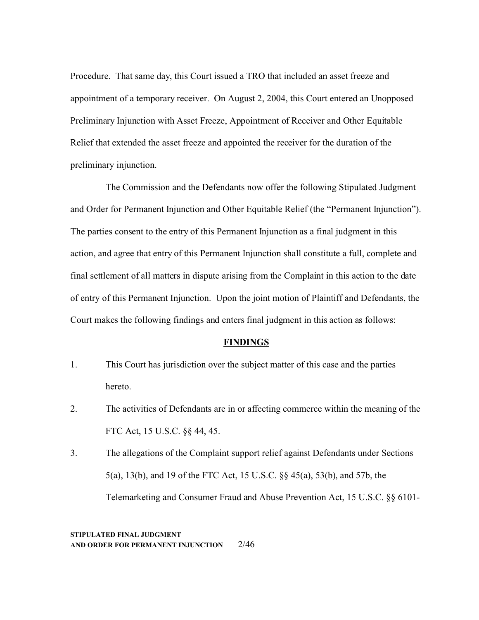Procedure. That same day, this Court issued a TRO that included an asset freeze and appointment of a temporary receiver. On August 2, 2004, this Court entered an Unopposed Preliminary Injunction with Asset Freeze, Appointment of Receiver and Other Equitable Relief that extended the asset freeze and appointed the receiver for the duration of the preliminary injunction.

The Commission and the Defendants now offer the following Stipulated Judgment and Order for Permanent Injunction and Other Equitable Relief (the "Permanent Injunction"). The parties consent to the entry of this Permanent Injunction as a final judgment in this action, and agree that entry of this Permanent Injunction shall constitute a full, complete and final settlement of all matters in dispute arising from the Complaint in this action to the date of entry of this Permanent Injunction. Upon the joint motion of Plaintiff and Defendants, the Court makes the following findings and enters final judgment in this action as follows:

#### **FINDINGS**

- 1. This Court has jurisdiction over the subject matter of this case and the parties hereto.
- 2. The activities of Defendants are in or affecting commerce within the meaning of the FTC Act, 15 U.S.C. §§ 44, 45.
- 3. The allegations of the Complaint support relief against Defendants under Sections 5(a), 13(b), and 19 of the FTC Act, 15 U.S.C. §§ 45(a), 53(b), and 57b, the Telemarketing and Consumer Fraud and Abuse Prevention Act, 15 U.S.C. §§ 6101-

**STIPULATED FINAL JUDGMENT AND ORDER FOR PERMANENT INJUNCTION** 2/46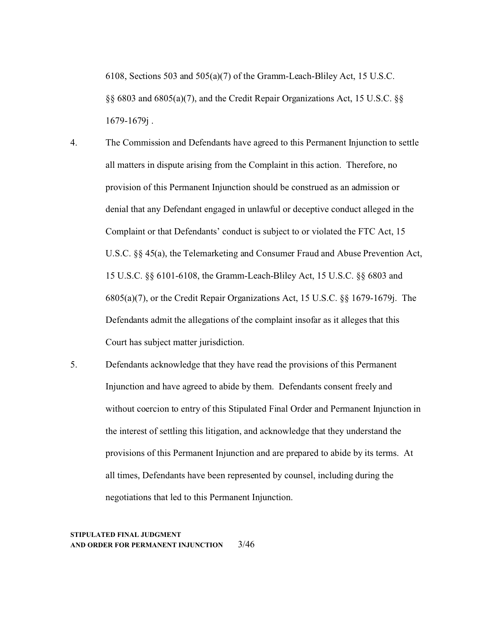6108, Sections 503 and 505(a)(7) of the Gramm-Leach-Bliley Act, 15 U.S.C. §§ 6803 and 6805(a)(7), and the Credit Repair Organizations Act, 15 U.S.C. §§ 1679-1679j .

- 4. The Commission and Defendants have agreed to this Permanent Injunction to settle all matters in dispute arising from the Complaint in this action. Therefore, no provision of this Permanent Injunction should be construed as an admission or denial that any Defendant engaged in unlawful or deceptive conduct alleged in the Complaint or that Defendants' conduct is subject to or violated the FTC Act, 15 U.S.C. §§ 45(a), the Telemarketing and Consumer Fraud and Abuse Prevention Act, 15 U.S.C. §§ 6101-6108, the Gramm-Leach-Bliley Act, 15 U.S.C. §§ 6803 and 6805(a)(7), or the Credit Repair Organizations Act, 15 U.S.C. §§ 1679-1679j. The Defendants admit the allegations of the complaint insofar as it alleges that this Court has subject matter jurisdiction.
- 5. Defendants acknowledge that they have read the provisions of this Permanent Injunction and have agreed to abide by them. Defendants consent freely and without coercion to entry of this Stipulated Final Order and Permanent Injunction in the interest of settling this litigation, and acknowledge that they understand the provisions of this Permanent Injunction and are prepared to abide by its terms. At all times, Defendants have been represented by counsel, including during the negotiations that led to this Permanent Injunction.

#### **STIPULATED FINAL JUDGMENT AND ORDER FOR PERMANENT INJUNCTION** 3/46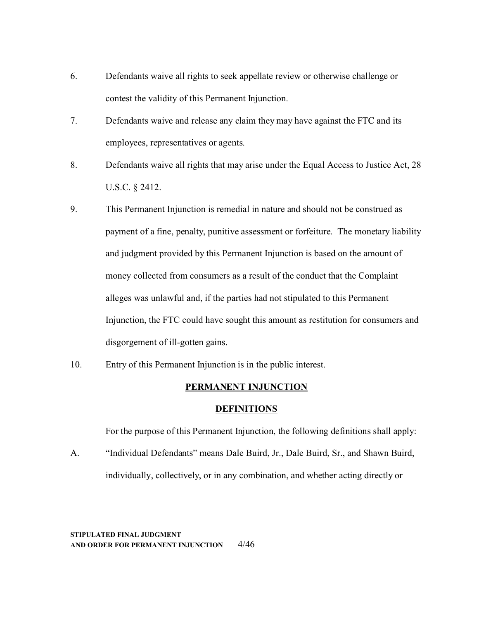- 6. Defendants waive all rights to seek appellate review or otherwise challenge or contest the validity of this Permanent Injunction.
- 7. Defendants waive and release any claim they may have against the FTC and its employees, representatives or agents.
- 8. Defendants waive all rights that may arise under the Equal Access to Justice Act, 28 U.S.C. § 2412.
- 9. This Permanent Injunction is remedial in nature and should not be construed as payment of a fine, penalty, punitive assessment or forfeiture. The monetary liability and judgment provided by this Permanent Injunction is based on the amount of money collected from consumers as a result of the conduct that the Complaint alleges was unlawful and, if the parties had not stipulated to this Permanent Injunction, the FTC could have sought this amount as restitution for consumers and disgorgement of ill-gotten gains.
- 10. Entry of this Permanent Injunction is in the public interest.

## **PERMANENT INJUNCTION**

#### **DEFINITIONS**

For the purpose of this Permanent Injunction, the following definitions shall apply:

A. "Individual Defendants" means Dale Buird, Jr., Dale Buird, Sr., and Shawn Buird, individually, collectively, or in any combination, and whether acting directly or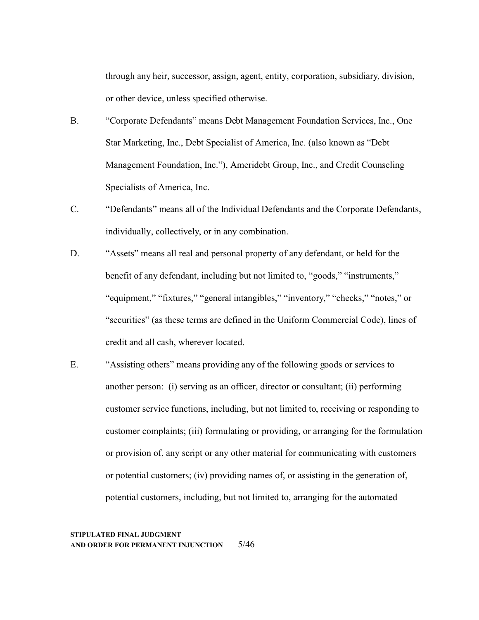through any heir, successor, assign, agent, entity, corporation, subsidiary, division, or other device, unless specified otherwise.

- B. "Corporate Defendants" means Debt Management Foundation Services, Inc., One Star Marketing, Inc., Debt Specialist of America, Inc. (also known as "Debt Management Foundation, Inc."), Ameridebt Group, Inc., and Credit Counseling Specialists of America, Inc.
- C. "Defendants" means all of the Individual Defendants and the Corporate Defendants, individually, collectively, or in any combination.
- D. "Assets" means all real and personal property of any defendant, or held for the benefit of any defendant, including but not limited to, "goods," "instruments," "equipment," "fixtures," "general intangibles," "inventory," "checks," "notes," or "securities" (as these terms are defined in the Uniform Commercial Code), lines of credit and all cash, wherever located.
- E. "Assisting others" means providing any of the following goods or services to another person: (i) serving as an officer, director or consultant; (ii) performing customer service functions, including, but not limited to, receiving or responding to customer complaints; (iii) formulating or providing, or arranging for the formulation or provision of, any script or any other material for communicating with customers or potential customers; (iv) providing names of, or assisting in the generation of, potential customers, including, but not limited to, arranging for the automated

## **STIPULATED FINAL JUDGMENT AND ORDER FOR PERMANENT INJUNCTION** 5/46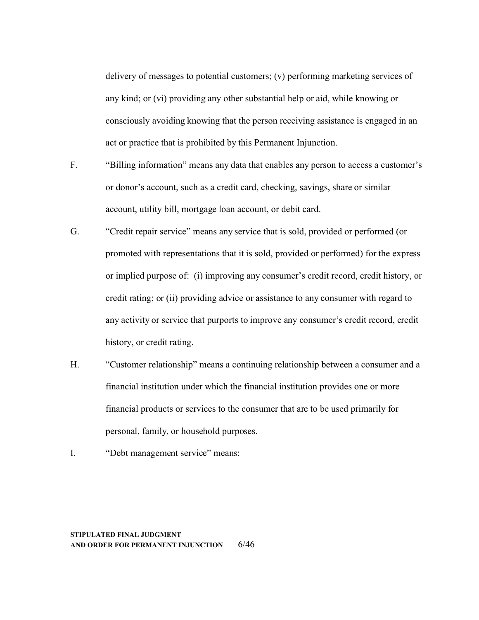delivery of messages to potential customers; (v) performing marketing services of any kind; or (vi) providing any other substantial help or aid, while knowing or consciously avoiding knowing that the person receiving assistance is engaged in an act or practice that is prohibited by this Permanent Injunction.

- F. "Billing information" means any data that enables any person to access a customer's or donor's account, such as a credit card, checking, savings, share or similar account, utility bill, mortgage loan account, or debit card.
- G. "Credit repair service" means any service that is sold, provided or performed (or promoted with representations that it is sold, provided or performed) for the express or implied purpose of: (i) improving any consumer's credit record, credit history, or credit rating; or (ii) providing advice or assistance to any consumer with regard to any activity or service that purports to improve any consumer's credit record, credit history, or credit rating.
- H. "Customer relationship" means a continuing relationship between a consumer and a financial institution under which the financial institution provides one or more financial products or services to the consumer that are to be used primarily for personal, family, or household purposes.
- I. "Debt management service" means:

**STIPULATED FINAL JUDGMENT AND ORDER FOR PERMANENT INJUNCTION** 6/46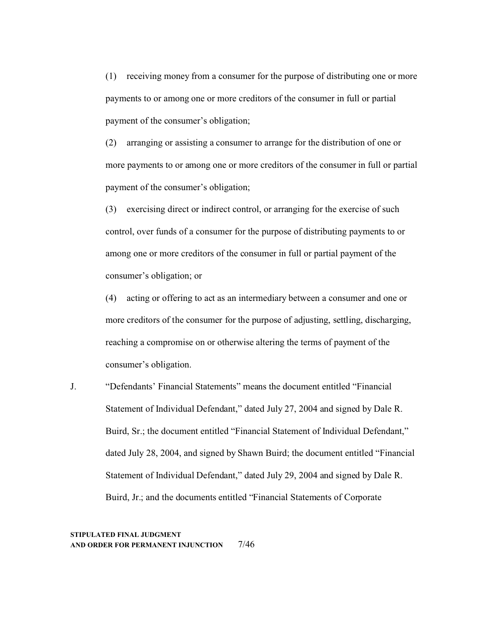(1) receiving money from a consumer for the purpose of distributing one or more payments to or among one or more creditors of the consumer in full or partial payment of the consumer's obligation;

(2) arranging or assisting a consumer to arrange for the distribution of one or more payments to or among one or more creditors of the consumer in full or partial payment of the consumer's obligation;

(3) exercising direct or indirect control, or arranging for the exercise of such control, over funds of a consumer for the purpose of distributing payments to or among one or more creditors of the consumer in full or partial payment of the consumer's obligation; or

(4) acting or offering to act as an intermediary between a consumer and one or more creditors of the consumer for the purpose of adjusting, settling, discharging, reaching a compromise on or otherwise altering the terms of payment of the consumer's obligation.

J. "Defendants' Financial Statements" means the document entitled "Financial Statement of Individual Defendant," dated July 27, 2004 and signed by Dale R. Buird, Sr.; the document entitled "Financial Statement of Individual Defendant," dated July 28, 2004, and signed by Shawn Buird; the document entitled "Financial Statement of Individual Defendant," dated July 29, 2004 and signed by Dale R. Buird, Jr.; and the documents entitled "Financial Statements of Corporate

#### **STIPULATED FINAL JUDGMENT AND ORDER FOR PERMANENT INJUNCTION** 7/46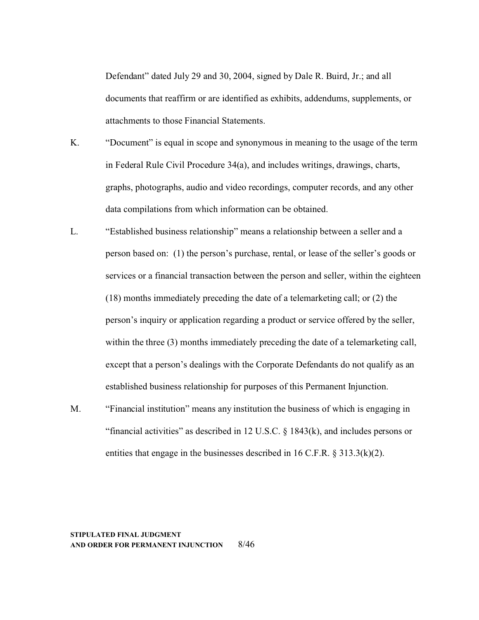Defendant" dated July 29 and 30, 2004, signed by Dale R. Buird, Jr.; and all documents that reaffirm or are identified as exhibits, addendums, supplements, or attachments to those Financial Statements.

- K. "Document" is equal in scope and synonymous in meaning to the usage of the term in Federal Rule Civil Procedure 34(a), and includes writings, drawings, charts, graphs, photographs, audio and video recordings, computer records, and any other data compilations from which information can be obtained.
- L. "Established business relationship" means a relationship between a seller and a person based on: (1) the person's purchase, rental, or lease of the seller's goods or services or a financial transaction between the person and seller, within the eighteen (18) months immediately preceding the date of a telemarketing call; or (2) the person's inquiry or application regarding a product or service offered by the seller, within the three (3) months immediately preceding the date of a telemarketing call, except that a person's dealings with the Corporate Defendants do not qualify as an established business relationship for purposes of this Permanent Injunction.
- M. "Financial institution" means any institution the business of which is engaging in "financial activities" as described in 12 U.S.C. § 1843(k), and includes persons or entities that engage in the businesses described in 16 C.F.R. § 313.3(k)(2).

#### **STIPULATED FINAL JUDGMENT AND ORDER FOR PERMANENT INJUNCTION** 8/46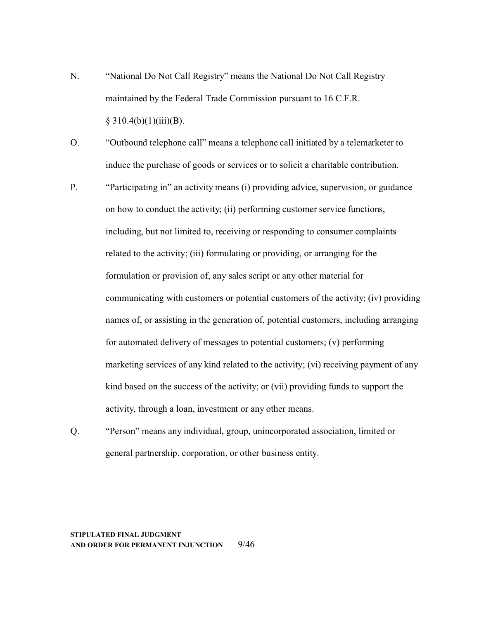N. "National Do Not Call Registry" means the National Do Not Call Registry maintained by the Federal Trade Commission pursuant to 16 C.F.R.  $§ 310.4(b)(1)(iii)(B).$ 

O. "Outbound telephone call" means a telephone call initiated by a telemarketer to induce the purchase of goods or services or to solicit a charitable contribution.

- P. "Participating in" an activity means (i) providing advice, supervision, or guidance on how to conduct the activity; (ii) performing customer service functions, including, but not limited to, receiving or responding to consumer complaints related to the activity; (iii) formulating or providing, or arranging for the formulation or provision of, any sales script or any other material for communicating with customers or potential customers of the activity; (iv) providing names of, or assisting in the generation of, potential customers, including arranging for automated delivery of messages to potential customers; (v) performing marketing services of any kind related to the activity; (vi) receiving payment of any kind based on the success of the activity; or (vii) providing funds to support the activity, through a loan, investment or any other means.
- Q. "Person" means any individual, group, unincorporated association, limited or general partnership, corporation, or other business entity.

#### **STIPULATED FINAL JUDGMENT AND ORDER FOR PERMANENT INJUNCTION** 9/46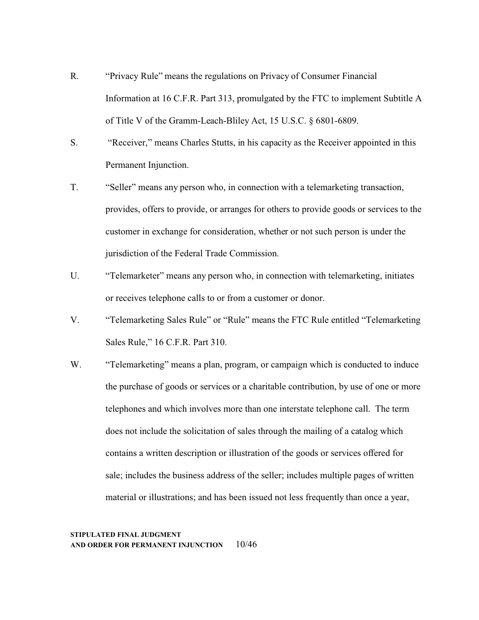- R. "Privacy Rule" means the regulations on Privacy of Consumer Financial Information at 16 C.F.R. Part 313, promulgated by the FTC to implement Subtitle A of Title V of the Gramm-Leach-Bliley Act, 15 U.S.C. § 6801-6809.
- S. "Receiver," means Charles Stutts, in his capacity as the Receiver appointed in this Permanent Injunction.
- T. "Seller" means any person who, in connection with a telemarketing transaction, provides, offers to provide, or arranges for others to provide goods or services to the customer in exchange for consideration, whether or not such person is under the jurisdiction of the Federal Trade Commission.
- U. "Telemarketer" means any person who, in connection with telemarketing, initiates or receives telephone calls to or from a customer or donor.
- V. "Telemarketing Sales Rule" or "Rule" means the FTC Rule entitled "Telemarketing Sales Rule," 16 C.F.R. Part 310.
- W. "Telemarketing" means a plan, program, or campaign which is conducted to induce the purchase of goods or services or a charitable contribution, by use of one or more telephones and which involves more than one interstate telephone call. The term does not include the solicitation of sales through the mailing of a catalog which contains a written description or illustration of the goods or services offered for sale; includes the business address of the seller; includes multiple pages of written material or illustrations; and has been issued not less frequently than once a year,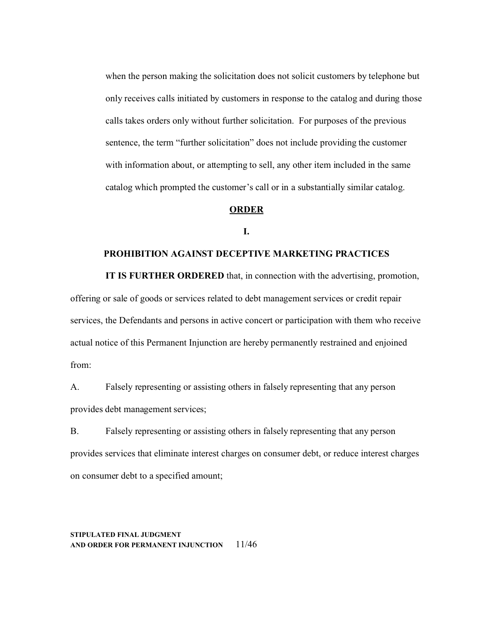when the person making the solicitation does not solicit customers by telephone but only receives calls initiated by customers in response to the catalog and during those calls takes orders only without further solicitation. For purposes of the previous sentence, the term "further solicitation" does not include providing the customer with information about, or attempting to sell, any other item included in the same catalog which prompted the customer's call or in a substantially similar catalog.

## **ORDER**

**I.**

#### **PROHIBITION AGAINST DECEPTIVE MARKETING PRACTICES**

**IT IS FURTHER ORDERED** that, in connection with the advertising, promotion, offering or sale of goods or services related to debt management services or credit repair

services, the Defendants and persons in active concert or participation with them who receive actual notice of this Permanent Injunction are hereby permanently restrained and enjoined from:

A. Falsely representing or assisting others in falsely representing that any person provides debt management services;

B. Falsely representing or assisting others in falsely representing that any person provides services that eliminate interest charges on consumer debt, or reduce interest charges on consumer debt to a specified amount;

**STIPULATED FINAL JUDGMENT AND ORDER FOR PERMANENT INJUNCTION** 11/46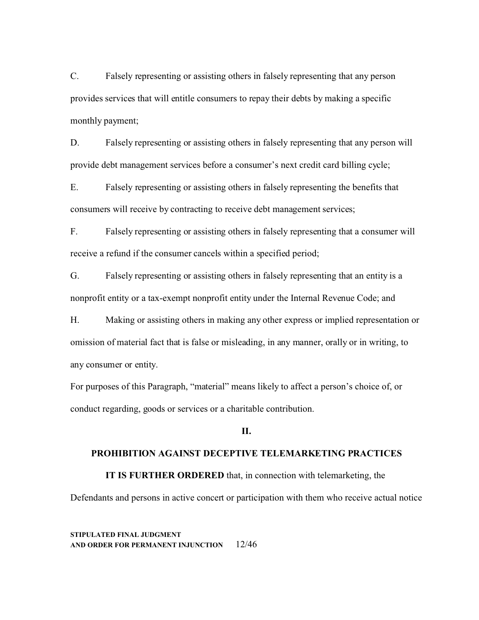C. Falsely representing or assisting others in falsely representing that any person provides services that will entitle consumers to repay their debts by making a specific monthly payment;

D. Falsely representing or assisting others in falsely representing that any person will provide debt management services before a consumer's next credit card billing cycle;

E. Falsely representing or assisting others in falsely representing the benefits that consumers will receive by contracting to receive debt management services;

F. Falsely representing or assisting others in falsely representing that a consumer will receive a refund if the consumer cancels within a specified period;

G. Falsely representing or assisting others in falsely representing that an entity is a nonprofit entity or a tax-exempt nonprofit entity under the Internal Revenue Code; and

H. Making or assisting others in making any other express or implied representation or omission of material fact that is false or misleading, in any manner, orally or in writing, to any consumer or entity.

For purposes of this Paragraph, "material" means likely to affect a person's choice of, or conduct regarding, goods or services or a charitable contribution.

## **II.**

#### **PROHIBITION AGAINST DECEPTIVE TELEMARKETING PRACTICES**

**IT IS FURTHER ORDERED** that, in connection with telemarketing, the

Defendants and persons in active concert or participation with them who receive actual notice

**STIPULATED FINAL JUDGMENT AND ORDER FOR PERMANENT INJUNCTION** 12/46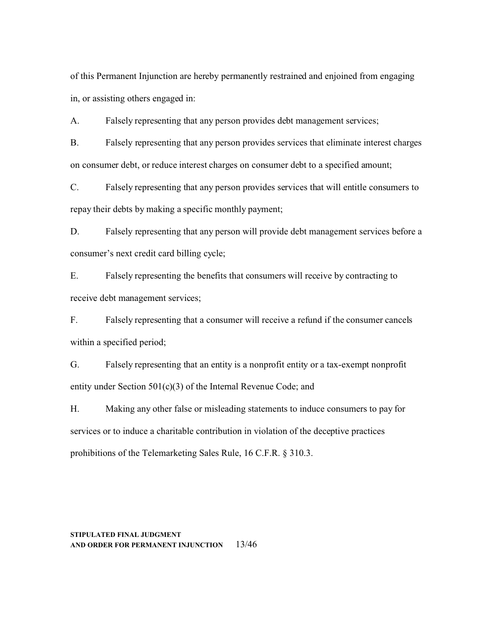of this Permanent Injunction are hereby permanently restrained and enjoined from engaging in, or assisting others engaged in:

A. Falsely representing that any person provides debt management services;

B. Falsely representing that any person provides services that eliminate interest charges on consumer debt, or reduce interest charges on consumer debt to a specified amount;

C. Falsely representing that any person provides services that will entitle consumers to repay their debts by making a specific monthly payment;

D. Falsely representing that any person will provide debt management services before a consumer's next credit card billing cycle;

E. Falsely representing the benefits that consumers will receive by contracting to receive debt management services;

F. Falsely representing that a consumer will receive a refund if the consumer cancels within a specified period;

G. Falsely representing that an entity is a nonprofit entity or a tax-exempt nonprofit entity under Section 501(c)(3) of the Internal Revenue Code; and

H. Making any other false or misleading statements to induce consumers to pay for services or to induce a charitable contribution in violation of the deceptive practices prohibitions of the Telemarketing Sales Rule, 16 C.F.R. § 310.3.

#### **STIPULATED FINAL JUDGMENT AND ORDER FOR PERMANENT INJUNCTION** 13/46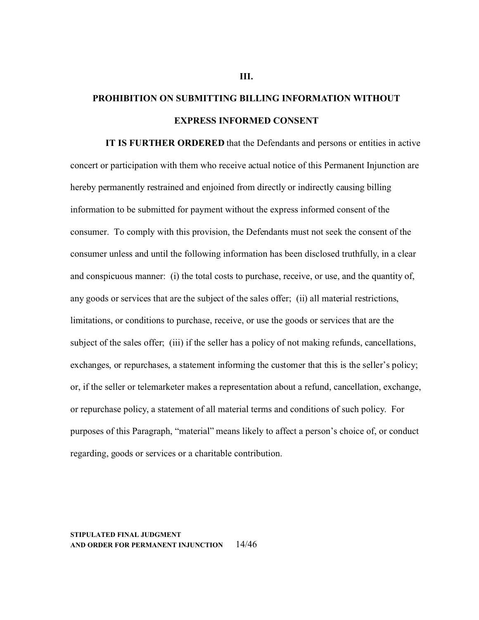# **PROHIBITION ON SUBMITTING BILLING INFORMATION WITHOUT EXPRESS INFORMED CONSENT**

**IT IS FURTHER ORDERED** that the Defendants and persons or entities in active concert or participation with them who receive actual notice of this Permanent Injunction are hereby permanently restrained and enjoined from directly or indirectly causing billing information to be submitted for payment without the express informed consent of the consumer. To comply with this provision, the Defendants must not seek the consent of the consumer unless and until the following information has been disclosed truthfully, in a clear and conspicuous manner: (i) the total costs to purchase, receive, or use, and the quantity of, any goods or services that are the subject of the sales offer; (ii) all material restrictions, limitations, or conditions to purchase, receive, or use the goods or services that are the subject of the sales offer; (iii) if the seller has a policy of not making refunds, cancellations, exchanges, or repurchases, a statement informing the customer that this is the seller's policy; or, if the seller or telemarketer makes a representation about a refund, cancellation, exchange, or repurchase policy, a statement of all material terms and conditions of such policy. For purposes of this Paragraph, "material" means likely to affect a person's choice of, or conduct regarding, goods or services or a charitable contribution.

## **STIPULATED FINAL JUDGMENT AND ORDER FOR PERMANENT INJUNCTION** 14/46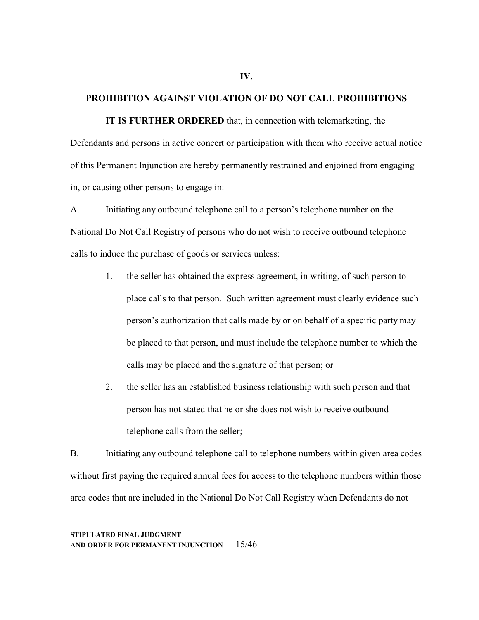#### **PROHIBITION AGAINST VIOLATION OF DO NOT CALL PROHIBITIONS**

**IT IS FURTHER ORDERED** that, in connection with telemarketing, the Defendants and persons in active concert or participation with them who receive actual notice of this Permanent Injunction are hereby permanently restrained and enjoined from engaging in, or causing other persons to engage in:

A. Initiating any outbound telephone call to a person's telephone number on the National Do Not Call Registry of persons who do not wish to receive outbound telephone calls to induce the purchase of goods or services unless:

- 1. the seller has obtained the express agreement, in writing, of such person to place calls to that person. Such written agreement must clearly evidence such person's authorization that calls made by or on behalf of a specific party may be placed to that person, and must include the telephone number to which the calls may be placed and the signature of that person; or
- 2. the seller has an established business relationship with such person and that person has not stated that he or she does not wish to receive outbound telephone calls from the seller;

B. Initiating any outbound telephone call to telephone numbers within given area codes without first paying the required annual fees for access to the telephone numbers within those area codes that are included in the National Do Not Call Registry when Defendants do not

**STIPULATED FINAL JUDGMENT AND ORDER FOR PERMANENT INJUNCTION** 15/46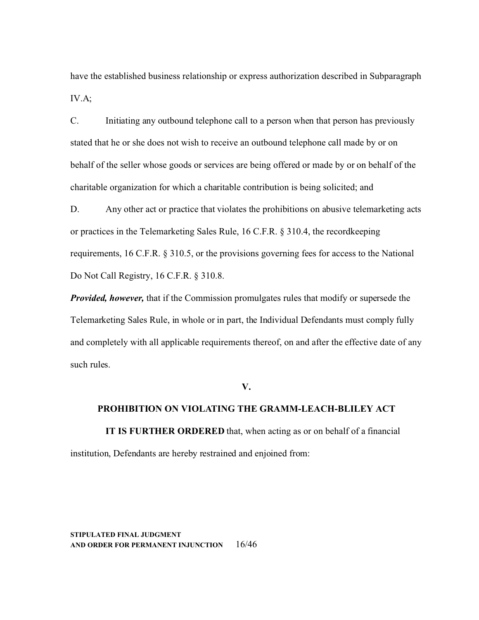have the established business relationship or express authorization described in Subparagraph IV.A;

C. Initiating any outbound telephone call to a person when that person has previously stated that he or she does not wish to receive an outbound telephone call made by or on behalf of the seller whose goods or services are being offered or made by or on behalf of the charitable organization for which a charitable contribution is being solicited; and

D. Any other act or practice that violates the prohibitions on abusive telemarketing acts or practices in the Telemarketing Sales Rule, 16 C.F.R. § 310.4, the recordkeeping requirements, 16 C.F.R. § 310.5, or the provisions governing fees for access to the National Do Not Call Registry, 16 C.F.R. § 310.8.

*Provided, however,* that if the Commission promulgates rules that modify or supersede the Telemarketing Sales Rule, in whole or in part, the Individual Defendants must comply fully and completely with all applicable requirements thereof, on and after the effective date of any such rules.

**V.**

# **PROHIBITION ON VIOLATING THE GRAMM-LEACH-BLILEY ACT**

**IT IS FURTHER ORDERED** that, when acting as or on behalf of a financial institution, Defendants are hereby restrained and enjoined from:

**STIPULATED FINAL JUDGMENT AND ORDER FOR PERMANENT INJUNCTION** 16/46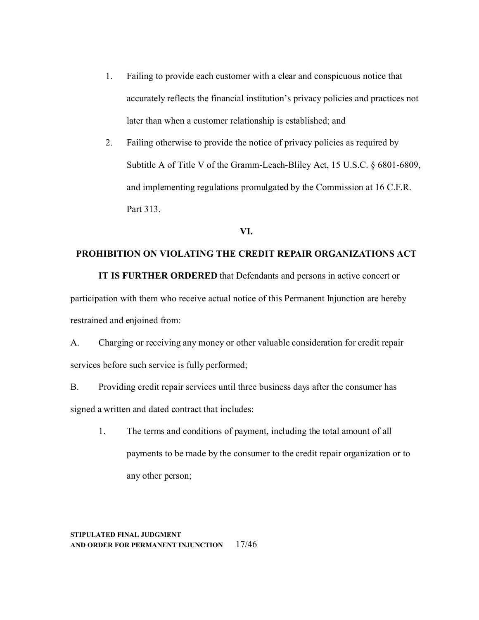- 1. Failing to provide each customer with a clear and conspicuous notice that accurately reflects the financial institution's privacy policies and practices not later than when a customer relationship is established; and
- 2. Failing otherwise to provide the notice of privacy policies as required by Subtitle A of Title V of the Gramm-Leach-Bliley Act, 15 U.S.C. § 6801-6809, and implementing regulations promulgated by the Commission at 16 C.F.R. Part 313.

#### **VI.**

## **PROHIBITION ON VIOLATING THE CREDIT REPAIR ORGANIZATIONS ACT**

**IT IS FURTHER ORDERED** that Defendants and persons in active concert or participation with them who receive actual notice of this Permanent Injunction are hereby restrained and enjoined from:

A. Charging or receiving any money or other valuable consideration for credit repair services before such service is fully performed;

B. Providing credit repair services until three business days after the consumer has signed a written and dated contract that includes:

1. The terms and conditions of payment, including the total amount of all payments to be made by the consumer to the credit repair organization or to any other person;

## **STIPULATED FINAL JUDGMENT AND ORDER FOR PERMANENT INJUNCTION** 17/46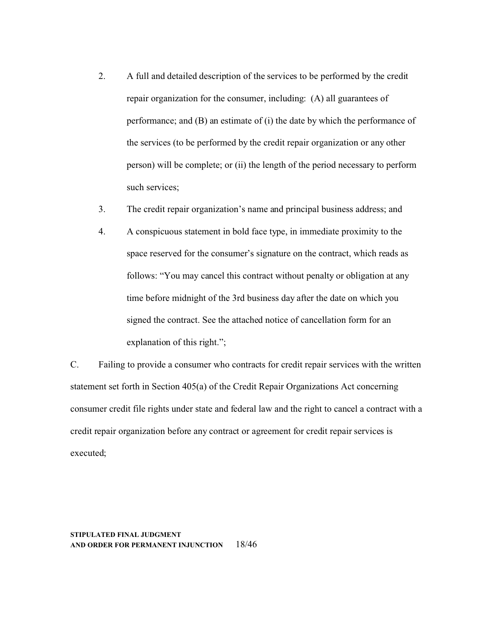- 2. A full and detailed description of the services to be performed by the credit repair organization for the consumer, including: (A) all guarantees of performance; and (B) an estimate of (i) the date by which the performance of the services (to be performed by the credit repair organization or any other person) will be complete; or (ii) the length of the period necessary to perform such services;
- 3. The credit repair organization's name and principal business address; and
- 4. A conspicuous statement in bold face type, in immediate proximity to the space reserved for the consumer's signature on the contract, which reads as follows: "You may cancel this contract without penalty or obligation at any time before midnight of the 3rd business day after the date on which you signed the contract. See the attached notice of cancellation form for an explanation of this right.";

C. Failing to provide a consumer who contracts for credit repair services with the written statement set forth in Section 405(a) of the Credit Repair Organizations Act concerning consumer credit file rights under state and federal law and the right to cancel a contract with a credit repair organization before any contract or agreement for credit repair services is executed;

#### **STIPULATED FINAL JUDGMENT AND ORDER FOR PERMANENT INJUNCTION** 18/46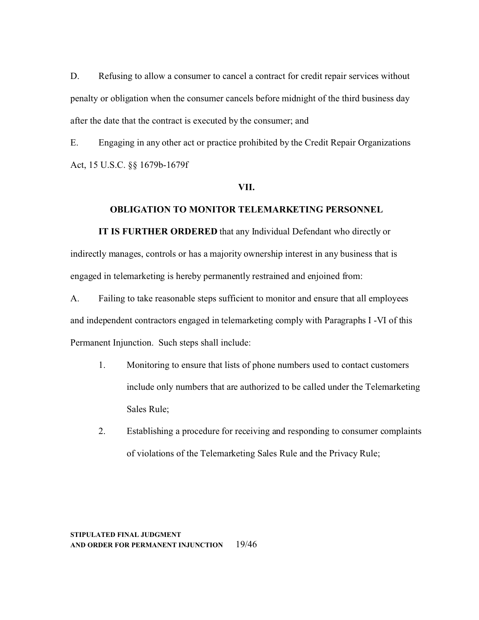D. Refusing to allow a consumer to cancel a contract for credit repair services without penalty or obligation when the consumer cancels before midnight of the third business day after the date that the contract is executed by the consumer; and

E. Engaging in any other act or practice prohibited by the Credit Repair Organizations Act, 15 U.S.C. §§ 1679b-1679f

## **VII.**

#### **OBLIGATION TO MONITOR TELEMARKETING PERSONNEL**

**IT IS FURTHER ORDERED** that any Individual Defendant who directly or indirectly manages, controls or has a majority ownership interest in any business that is engaged in telemarketing is hereby permanently restrained and enjoined from:

A. Failing to take reasonable steps sufficient to monitor and ensure that all employees and independent contractors engaged in telemarketing comply with Paragraphs I -VI of this Permanent Injunction. Such steps shall include:

- 1. Monitoring to ensure that lists of phone numbers used to contact customers include only numbers that are authorized to be called under the Telemarketing Sales Rule;
- 2. Establishing a procedure for receiving and responding to consumer complaints of violations of the Telemarketing Sales Rule and the Privacy Rule;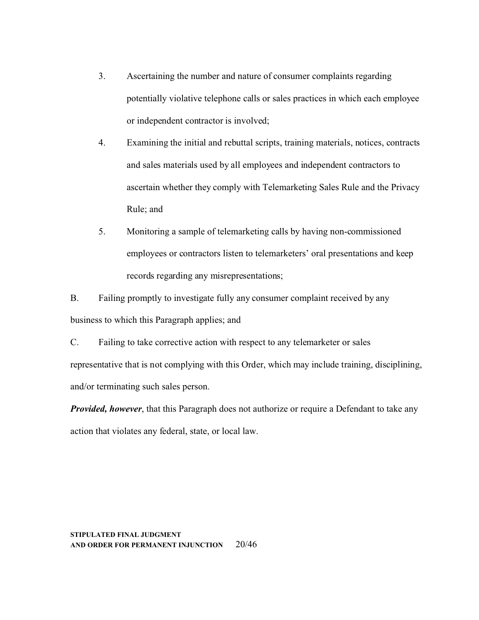- 3. Ascertaining the number and nature of consumer complaints regarding potentially violative telephone calls or sales practices in which each employee or independent contractor is involved;
- 4. Examining the initial and rebuttal scripts, training materials, notices, contracts and sales materials used by all employees and independent contractors to ascertain whether they comply with Telemarketing Sales Rule and the Privacy Rule; and
- 5. Monitoring a sample of telemarketing calls by having non-commissioned employees or contractors listen to telemarketers' oral presentations and keep records regarding any misrepresentations;

B. Failing promptly to investigate fully any consumer complaint received by any business to which this Paragraph applies; and

C. Failing to take corrective action with respect to any telemarketer or sales representative that is not complying with this Order, which may include training, disciplining, and/or terminating such sales person.

*Provided, however*, that this Paragraph does not authorize or require a Defendant to take any action that violates any federal, state, or local law.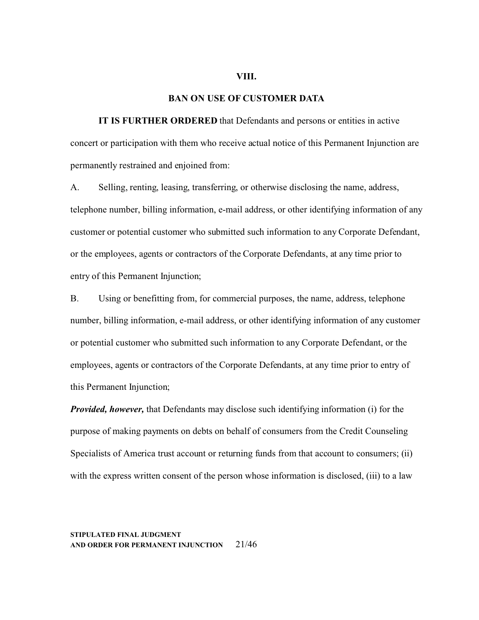#### **VIII.**

#### **BAN ON USE OF CUSTOMER DATA**

**IT IS FURTHER ORDERED** that Defendants and persons or entities in active concert or participation with them who receive actual notice of this Permanent Injunction are permanently restrained and enjoined from:

A. Selling, renting, leasing, transferring, or otherwise disclosing the name, address, telephone number, billing information, e-mail address, or other identifying information of any customer or potential customer who submitted such information to any Corporate Defendant, or the employees, agents or contractors of the Corporate Defendants, at any time prior to entry of this Permanent Injunction;

B. Using or benefitting from, for commercial purposes, the name, address, telephone number, billing information, e-mail address, or other identifying information of any customer or potential customer who submitted such information to any Corporate Defendant, or the employees, agents or contractors of the Corporate Defendants, at any time prior to entry of this Permanent Injunction;

*Provided, however,* that Defendants may disclose such identifying information (i) for the purpose of making payments on debts on behalf of consumers from the Credit Counseling Specialists of America trust account or returning funds from that account to consumers; (ii) with the express written consent of the person whose information is disclosed, (iii) to a law

## **STIPULATED FINAL JUDGMENT AND ORDER FOR PERMANENT INJUNCTION** 21/46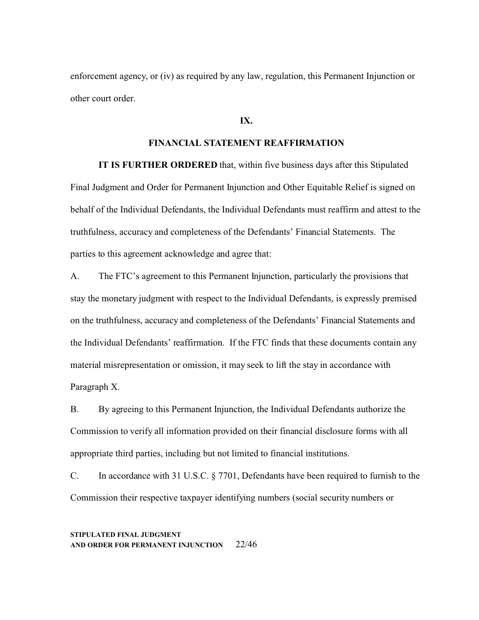enforcement agency, or (iv) as required by any law, regulation, this Permanent Injunction or other court order.

## **IX.**

# **FINANCIAL STATEMENT REAFFIRMATION**

**IT IS FURTHER ORDERED** that, within five business days after this Stipulated Final Judgment and Order for Permanent Injunction and Other Equitable Relief is signed on behalf of the Individual Defendants, the Individual Defendants must reaffirm and attest to the truthfulness, accuracy and completeness of the Defendants' Financial Statements. The parties to this agreement acknowledge and agree that:

A. The FTC's agreement to this Permanent Injunction, particularly the provisions that stay the monetary judgment with respect to the Individual Defendants, is expressly premised on the truthfulness, accuracy and completeness of the Defendants' Financial Statements and the Individual Defendants' reaffirmation. If the FTC finds that these documents contain any material misrepresentation or omission, it may seek to lift the stay in accordance with Paragraph X.

B. By agreeing to this Permanent Injunction, the Individual Defendants authorize the Commission to verify all information provided on their financial disclosure forms with all appropriate third parties, including but not limited to financial institutions.

C. In accordance with 31 U.S.C. § 7701, Defendants have been required to furnish to the Commission their respective taxpayer identifying numbers (social security numbers or

## **STIPULATED FINAL JUDGMENT AND ORDER FOR PERMANENT INJUNCTION** 22/46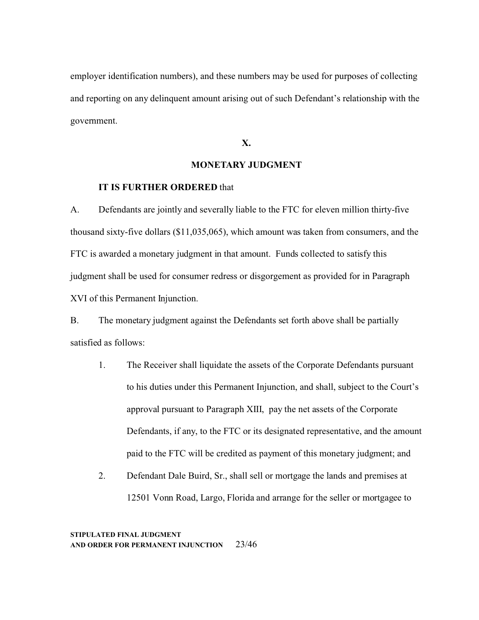employer identification numbers), and these numbers may be used for purposes of collecting and reporting on any delinquent amount arising out of such Defendant's relationship with the government.

**X.**

# **MONETARY JUDGMENT**

# **IT IS FURTHER ORDERED** that

A. Defendants are jointly and severally liable to the FTC for eleven million thirty-five thousand sixty-five dollars (\$11,035,065), which amount was taken from consumers, and the FTC is awarded a monetary judgment in that amount. Funds collected to satisfy this judgment shall be used for consumer redress or disgorgement as provided for in Paragraph XVI of this Permanent Injunction.

B. The monetary judgment against the Defendants set forth above shall be partially satisfied as follows:

- 1. The Receiver shall liquidate the assets of the Corporate Defendants pursuant to his duties under this Permanent Injunction, and shall, subject to the Court's approval pursuant to Paragraph XIII, pay the net assets of the Corporate Defendants, if any, to the FTC or its designated representative, and the amount paid to the FTC will be credited as payment of this monetary judgment; and
- 2. Defendant Dale Buird, Sr., shall sell or mortgage the lands and premises at 12501 Vonn Road, Largo, Florida and arrange for the seller or mortgagee to

**STIPULATED FINAL JUDGMENT AND ORDER FOR PERMANENT INJUNCTION** 23/46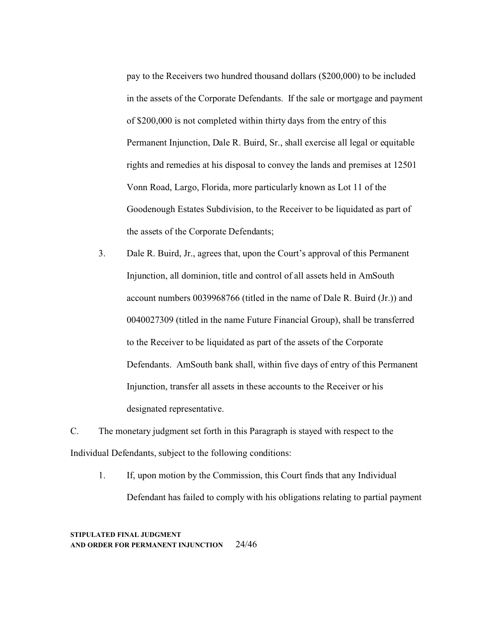pay to the Receivers two hundred thousand dollars (\$200,000) to be included in the assets of the Corporate Defendants. If the sale or mortgage and payment of \$200,000 is not completed within thirty days from the entry of this Permanent Injunction, Dale R. Buird, Sr., shall exercise all legal or equitable rights and remedies at his disposal to convey the lands and premises at 12501 Vonn Road, Largo, Florida, more particularly known as Lot 11 of the Goodenough Estates Subdivision, to the Receiver to be liquidated as part of the assets of the Corporate Defendants;

3. Dale R. Buird, Jr., agrees that, upon the Court's approval of this Permanent Injunction, all dominion, title and control of all assets held in AmSouth account numbers 0039968766 (titled in the name of Dale R. Buird (Jr.)) and 0040027309 (titled in the name Future Financial Group), shall be transferred to the Receiver to be liquidated as part of the assets of the Corporate Defendants. AmSouth bank shall, within five days of entry of this Permanent Injunction, transfer all assets in these accounts to the Receiver or his designated representative.

C. The monetary judgment set forth in this Paragraph is stayed with respect to the Individual Defendants, subject to the following conditions:

1. If, upon motion by the Commission, this Court finds that any Individual Defendant has failed to comply with his obligations relating to partial payment

## **STIPULATED FINAL JUDGMENT AND ORDER FOR PERMANENT INJUNCTION** 24/46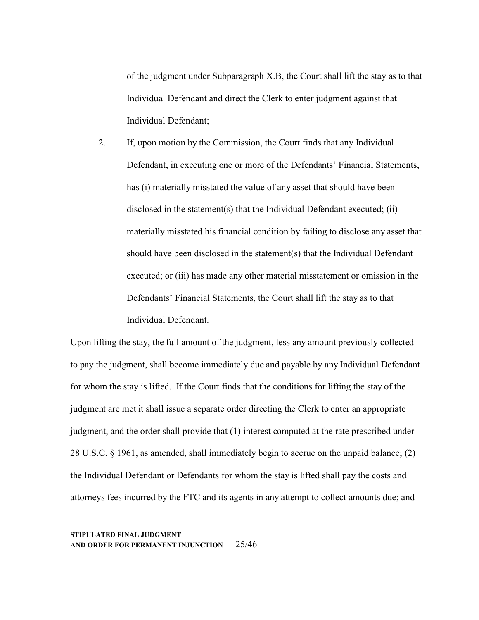of the judgment under Subparagraph X.B, the Court shall lift the stay as to that Individual Defendant and direct the Clerk to enter judgment against that Individual Defendant;

2. If, upon motion by the Commission, the Court finds that any Individual Defendant, in executing one or more of the Defendants' Financial Statements, has (i) materially misstated the value of any asset that should have been disclosed in the statement(s) that the Individual Defendant executed; (ii) materially misstated his financial condition by failing to disclose any asset that should have been disclosed in the statement(s) that the Individual Defendant executed; or (iii) has made any other material misstatement or omission in the Defendants' Financial Statements, the Court shall lift the stay as to that Individual Defendant.

Upon lifting the stay, the full amount of the judgment, less any amount previously collected to pay the judgment, shall become immediately due and payable by any Individual Defendant for whom the stay is lifted. If the Court finds that the conditions for lifting the stay of the judgment are met it shall issue a separate order directing the Clerk to enter an appropriate judgment, and the order shall provide that (1) interest computed at the rate prescribed under 28 U.S.C. § 1961, as amended, shall immediately begin to accrue on the unpaid balance; (2) the Individual Defendant or Defendants for whom the stay is lifted shall pay the costs and attorneys fees incurred by the FTC and its agents in any attempt to collect amounts due; and

**STIPULATED FINAL JUDGMENT AND ORDER FOR PERMANENT INJUNCTION** 25/46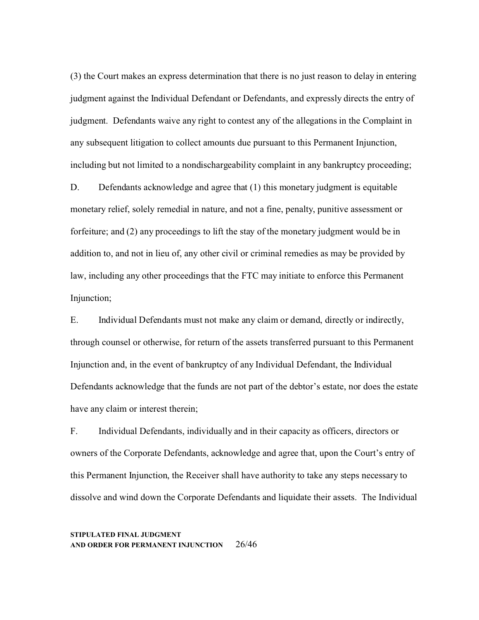(3) the Court makes an express determination that there is no just reason to delay in entering judgment against the Individual Defendant or Defendants, and expressly directs the entry of judgment. Defendants waive any right to contest any of the allegations in the Complaint in any subsequent litigation to collect amounts due pursuant to this Permanent Injunction, including but not limited to a nondischargeability complaint in any bankruptcy proceeding;

D. Defendants acknowledge and agree that (1) this monetary judgment is equitable monetary relief, solely remedial in nature, and not a fine, penalty, punitive assessment or forfeiture; and (2) any proceedings to lift the stay of the monetary judgment would be in addition to, and not in lieu of, any other civil or criminal remedies as may be provided by law, including any other proceedings that the FTC may initiate to enforce this Permanent Injunction;

E. Individual Defendants must not make any claim or demand, directly or indirectly, through counsel or otherwise, for return of the assets transferred pursuant to this Permanent Injunction and, in the event of bankruptcy of any Individual Defendant, the Individual Defendants acknowledge that the funds are not part of the debtor's estate, nor does the estate have any claim or interest therein;

F. Individual Defendants, individually and in their capacity as officers, directors or owners of the Corporate Defendants, acknowledge and agree that, upon the Court's entry of this Permanent Injunction, the Receiver shall have authority to take any steps necessary to dissolve and wind down the Corporate Defendants and liquidate their assets. The Individual

#### **STIPULATED FINAL JUDGMENT AND ORDER FOR PERMANENT INJUNCTION** 26/46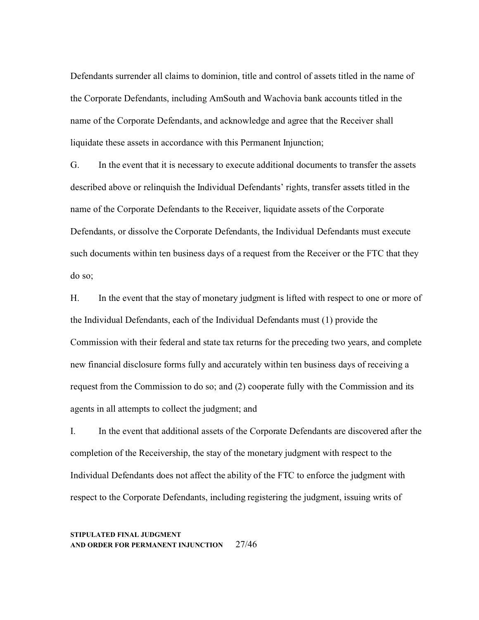Defendants surrender all claims to dominion, title and control of assets titled in the name of the Corporate Defendants, including AmSouth and Wachovia bank accounts titled in the name of the Corporate Defendants, and acknowledge and agree that the Receiver shall liquidate these assets in accordance with this Permanent Injunction;

G. In the event that it is necessary to execute additional documents to transfer the assets described above or relinquish the Individual Defendants' rights, transfer assets titled in the name of the Corporate Defendants to the Receiver, liquidate assets of the Corporate Defendants, or dissolve the Corporate Defendants, the Individual Defendants must execute such documents within ten business days of a request from the Receiver or the FTC that they do so;

H. In the event that the stay of monetary judgment is lifted with respect to one or more of the Individual Defendants, each of the Individual Defendants must (1) provide the Commission with their federal and state tax returns for the preceding two years, and complete new financial disclosure forms fully and accurately within ten business days of receiving a request from the Commission to do so; and (2) cooperate fully with the Commission and its agents in all attempts to collect the judgment; and

I. In the event that additional assets of the Corporate Defendants are discovered after the completion of the Receivership, the stay of the monetary judgment with respect to the Individual Defendants does not affect the ability of the FTC to enforce the judgment with respect to the Corporate Defendants, including registering the judgment, issuing writs of

#### **STIPULATED FINAL JUDGMENT AND ORDER FOR PERMANENT INJUNCTION** 27/46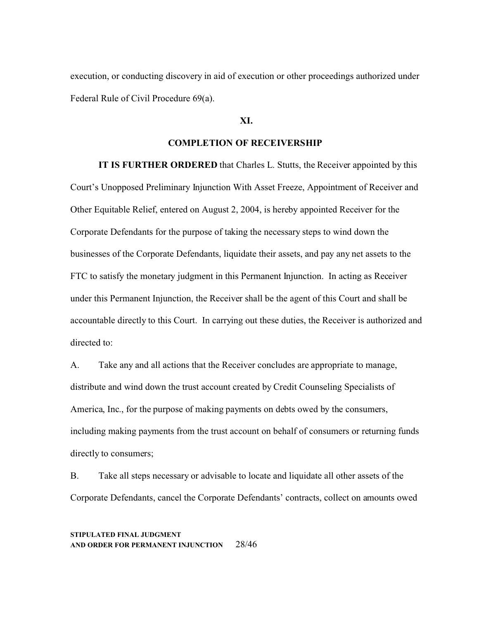execution, or conducting discovery in aid of execution or other proceedings authorized under Federal Rule of Civil Procedure 69(a).

## **XI.**

# **COMPLETION OF RECEIVERSHIP**

**IT IS FURTHER ORDERED** that Charles L. Stutts, the Receiver appointed by this Court's Unopposed Preliminary Injunction With Asset Freeze, Appointment of Receiver and Other Equitable Relief, entered on August 2, 2004, is hereby appointed Receiver for the Corporate Defendants for the purpose of taking the necessary steps to wind down the businesses of the Corporate Defendants, liquidate their assets, and pay any net assets to the FTC to satisfy the monetary judgment in this Permanent Injunction. In acting as Receiver under this Permanent Injunction, the Receiver shall be the agent of this Court and shall be accountable directly to this Court. In carrying out these duties, the Receiver is authorized and directed to:

A. Take any and all actions that the Receiver concludes are appropriate to manage, distribute and wind down the trust account created by Credit Counseling Specialists of America, Inc., for the purpose of making payments on debts owed by the consumers, including making payments from the trust account on behalf of consumers or returning funds directly to consumers;

B. Take all steps necessary or advisable to locate and liquidate all other assets of the Corporate Defendants, cancel the Corporate Defendants' contracts, collect on amounts owed

**STIPULATED FINAL JUDGMENT AND ORDER FOR PERMANENT INJUNCTION** 28/46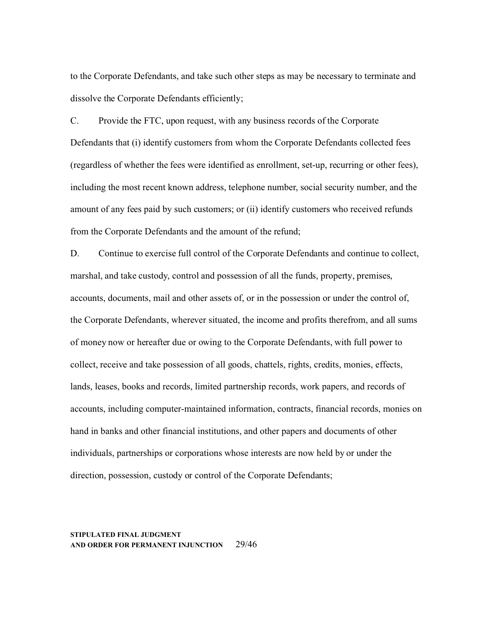to the Corporate Defendants, and take such other steps as may be necessary to terminate and dissolve the Corporate Defendants efficiently;

C. Provide the FTC, upon request, with any business records of the Corporate Defendants that (i) identify customers from whom the Corporate Defendants collected fees (regardless of whether the fees were identified as enrollment, set-up, recurring or other fees), including the most recent known address, telephone number, social security number, and the amount of any fees paid by such customers; or (ii) identify customers who received refunds from the Corporate Defendants and the amount of the refund;

D. Continue to exercise full control of the Corporate Defendants and continue to collect, marshal, and take custody, control and possession of all the funds, property, premises, accounts, documents, mail and other assets of, or in the possession or under the control of, the Corporate Defendants, wherever situated, the income and profits therefrom, and all sums of money now or hereafter due or owing to the Corporate Defendants, with full power to collect, receive and take possession of all goods, chattels, rights, credits, monies, effects, lands, leases, books and records, limited partnership records, work papers, and records of accounts, including computer-maintained information, contracts, financial records, monies on hand in banks and other financial institutions, and other papers and documents of other individuals, partnerships or corporations whose interests are now held by or under the direction, possession, custody or control of the Corporate Defendants;

#### **STIPULATED FINAL JUDGMENT AND ORDER FOR PERMANENT INJUNCTION** 29/46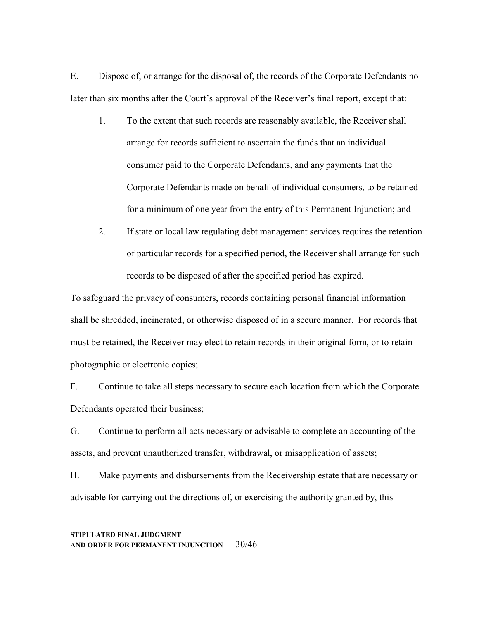E. Dispose of, or arrange for the disposal of, the records of the Corporate Defendants no later than six months after the Court's approval of the Receiver's final report, except that:

- 1. To the extent that such records are reasonably available, the Receiver shall arrange for records sufficient to ascertain the funds that an individual consumer paid to the Corporate Defendants, and any payments that the Corporate Defendants made on behalf of individual consumers, to be retained for a minimum of one year from the entry of this Permanent Injunction; and
- 2. If state or local law regulating debt management services requires the retention of particular records for a specified period, the Receiver shall arrange for such records to be disposed of after the specified period has expired.

To safeguard the privacy of consumers, records containing personal financial information shall be shredded, incinerated, or otherwise disposed of in a secure manner. For records that must be retained, the Receiver may elect to retain records in their original form, or to retain photographic or electronic copies;

F. Continue to take all steps necessary to secure each location from which the Corporate Defendants operated their business;

G. Continue to perform all acts necessary or advisable to complete an accounting of the assets, and prevent unauthorized transfer, withdrawal, or misapplication of assets;

H. Make payments and disbursements from the Receivership estate that are necessary or advisable for carrying out the directions of, or exercising the authority granted by, this

## **STIPULATED FINAL JUDGMENT AND ORDER FOR PERMANENT INJUNCTION** 30/46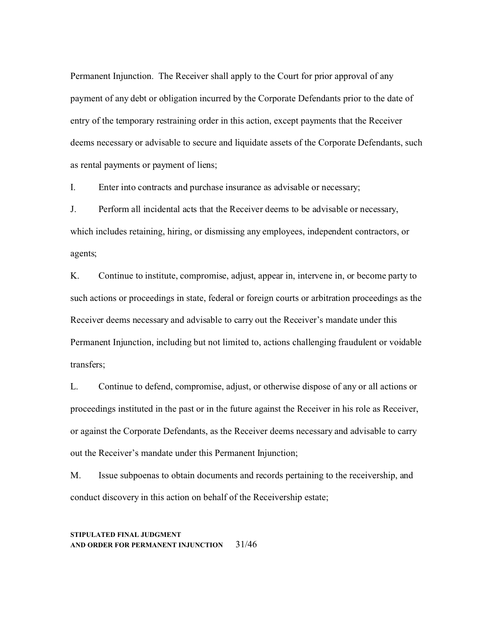Permanent Injunction. The Receiver shall apply to the Court for prior approval of any payment of any debt or obligation incurred by the Corporate Defendants prior to the date of entry of the temporary restraining order in this action, except payments that the Receiver deems necessary or advisable to secure and liquidate assets of the Corporate Defendants, such as rental payments or payment of liens;

I. Enter into contracts and purchase insurance as advisable or necessary;

J. Perform all incidental acts that the Receiver deems to be advisable or necessary, which includes retaining, hiring, or dismissing any employees, independent contractors, or agents;

K. Continue to institute, compromise, adjust, appear in, intervene in, or become party to such actions or proceedings in state, federal or foreign courts or arbitration proceedings as the Receiver deems necessary and advisable to carry out the Receiver's mandate under this Permanent Injunction, including but not limited to, actions challenging fraudulent or voidable transfers;

L. Continue to defend, compromise, adjust, or otherwise dispose of any or all actions or proceedings instituted in the past or in the future against the Receiver in his role as Receiver, or against the Corporate Defendants, as the Receiver deems necessary and advisable to carry out the Receiver's mandate under this Permanent Injunction;

M. Issue subpoenas to obtain documents and records pertaining to the receivership, and conduct discovery in this action on behalf of the Receivership estate;

## **STIPULATED FINAL JUDGMENT AND ORDER FOR PERMANENT INJUNCTION** 31/46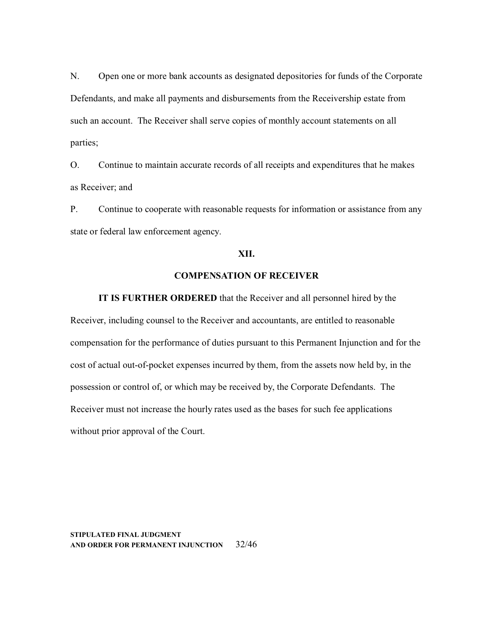N. Open one or more bank accounts as designated depositories for funds of the Corporate Defendants, and make all payments and disbursements from the Receivership estate from such an account. The Receiver shall serve copies of monthly account statements on all parties;

O. Continue to maintain accurate records of all receipts and expenditures that he makes as Receiver; and

P. Continue to cooperate with reasonable requests for information or assistance from any state or federal law enforcement agency.

#### **XII.**

# **COMPENSATION OF RECEIVER**

**IT IS FURTHER ORDERED** that the Receiver and all personnel hired by the Receiver, including counsel to the Receiver and accountants, are entitled to reasonable compensation for the performance of duties pursuant to this Permanent Injunction and for the cost of actual out-of-pocket expenses incurred by them, from the assets now held by, in the possession or control of, or which may be received by, the Corporate Defendants. The Receiver must not increase the hourly rates used as the bases for such fee applications without prior approval of the Court.

**STIPULATED FINAL JUDGMENT AND ORDER FOR PERMANENT INJUNCTION** 32/46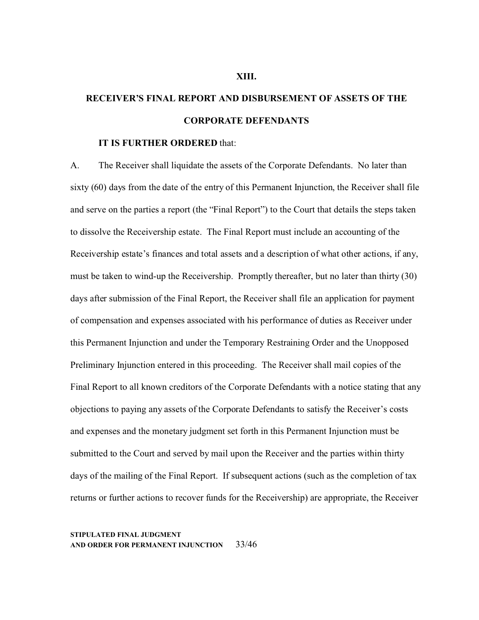# **RECEIVER'S FINAL REPORT AND DISBURSEMENT OF ASSETS OF THE CORPORATE DEFENDANTS**

# **IT IS FURTHER ORDERED** that:

A. The Receiver shall liquidate the assets of the Corporate Defendants. No later than sixty (60) days from the date of the entry of this Permanent Injunction, the Receiver shall file and serve on the parties a report (the "Final Report") to the Court that details the steps taken to dissolve the Receivership estate. The Final Report must include an accounting of the Receivership estate's finances and total assets and a description of what other actions, if any, must be taken to wind-up the Receivership. Promptly thereafter, but no later than thirty (30) days after submission of the Final Report, the Receiver shall file an application for payment of compensation and expenses associated with his performance of duties as Receiver under this Permanent Injunction and under the Temporary Restraining Order and the Unopposed Preliminary Injunction entered in this proceeding. The Receiver shall mail copies of the Final Report to all known creditors of the Corporate Defendants with a notice stating that any objections to paying any assets of the Corporate Defendants to satisfy the Receiver's costs and expenses and the monetary judgment set forth in this Permanent Injunction must be submitted to the Court and served by mail upon the Receiver and the parties within thirty days of the mailing of the Final Report. If subsequent actions (such as the completion of tax returns or further actions to recover funds for the Receivership) are appropriate, the Receiver

#### **STIPULATED FINAL JUDGMENT AND ORDER FOR PERMANENT INJUNCTION** 33/46

#### **XIII.**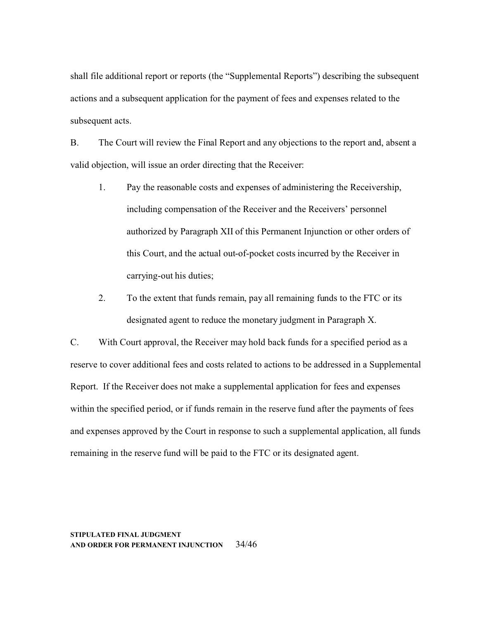shall file additional report or reports (the "Supplemental Reports") describing the subsequent actions and a subsequent application for the payment of fees and expenses related to the subsequent acts.

B. The Court will review the Final Report and any objections to the report and, absent a valid objection, will issue an order directing that the Receiver:

- 1. Pay the reasonable costs and expenses of administering the Receivership, including compensation of the Receiver and the Receivers' personnel authorized by Paragraph XII of this Permanent Injunction or other orders of this Court, and the actual out-of-pocket costs incurred by the Receiver in carrying-out his duties;
- 2. To the extent that funds remain, pay all remaining funds to the FTC or its designated agent to reduce the monetary judgment in Paragraph X.

C. With Court approval, the Receiver may hold back funds for a specified period as a reserve to cover additional fees and costs related to actions to be addressed in a Supplemental Report. If the Receiver does not make a supplemental application for fees and expenses within the specified period, or if funds remain in the reserve fund after the payments of fees and expenses approved by the Court in response to such a supplemental application, all funds remaining in the reserve fund will be paid to the FTC or its designated agent.

**STIPULATED FINAL JUDGMENT AND ORDER FOR PERMANENT INJUNCTION** 34/46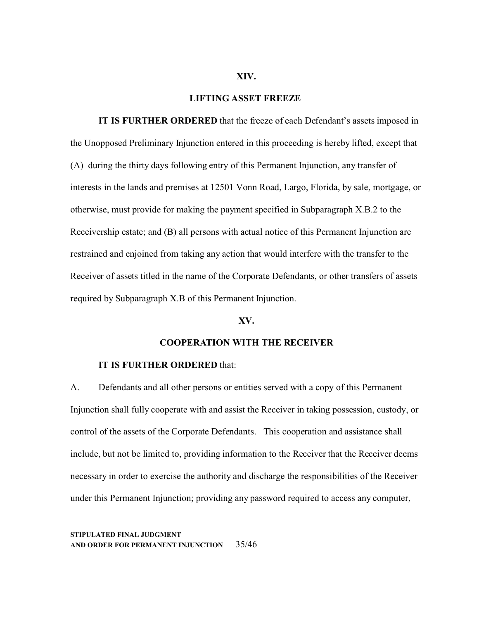#### **XIV.**

#### **LIFTING ASSET FREEZE**

**IT IS FURTHER ORDERED** that the freeze of each Defendant's assets imposed in the Unopposed Preliminary Injunction entered in this proceeding is hereby lifted, except that (A) during the thirty days following entry of this Permanent Injunction, any transfer of interests in the lands and premises at 12501 Vonn Road, Largo, Florida, by sale, mortgage, or otherwise, must provide for making the payment specified in Subparagraph X.B.2 to the Receivership estate; and (B) all persons with actual notice of this Permanent Injunction are restrained and enjoined from taking any action that would interfere with the transfer to the Receiver of assets titled in the name of the Corporate Defendants, or other transfers of assets required by Subparagraph X.B of this Permanent Injunction.

#### **XV.**

## **COOPERATION WITH THE RECEIVER**

#### **IT IS FURTHER ORDERED** that:

A. Defendants and all other persons or entities served with a copy of this Permanent Injunction shall fully cooperate with and assist the Receiver in taking possession, custody, or control of the assets of the Corporate Defendants. This cooperation and assistance shall include, but not be limited to, providing information to the Receiver that the Receiver deems necessary in order to exercise the authority and discharge the responsibilities of the Receiver under this Permanent Injunction; providing any password required to access any computer,

**STIPULATED FINAL JUDGMENT AND ORDER FOR PERMANENT INJUNCTION** 35/46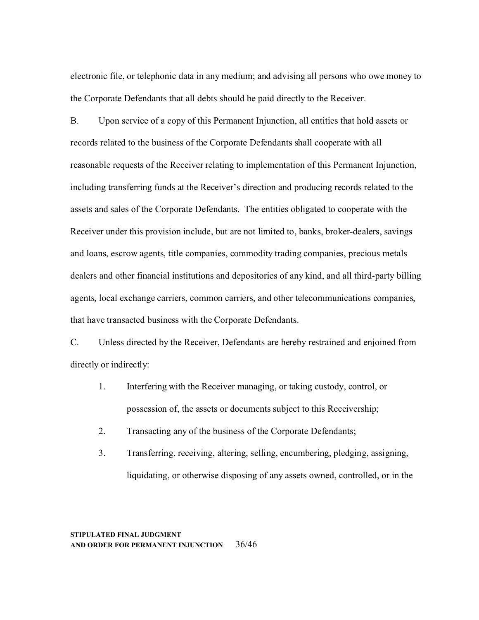electronic file, or telephonic data in any medium; and advising all persons who owe money to the Corporate Defendants that all debts should be paid directly to the Receiver.

B. Upon service of a copy of this Permanent Injunction, all entities that hold assets or records related to the business of the Corporate Defendants shall cooperate with all reasonable requests of the Receiver relating to implementation of this Permanent Injunction, including transferring funds at the Receiver's direction and producing records related to the assets and sales of the Corporate Defendants. The entities obligated to cooperate with the Receiver under this provision include, but are not limited to, banks, broker-dealers, savings and loans, escrow agents, title companies, commodity trading companies, precious metals dealers and other financial institutions and depositories of any kind, and all third-party billing agents, local exchange carriers, common carriers, and other telecommunications companies, that have transacted business with the Corporate Defendants.

C. Unless directed by the Receiver, Defendants are hereby restrained and enjoined from directly or indirectly:

- 1. Interfering with the Receiver managing, or taking custody, control, or possession of, the assets or documents subject to this Receivership;
- 2. Transacting any of the business of the Corporate Defendants;
- 3. Transferring, receiving, altering, selling, encumbering, pledging, assigning, liquidating, or otherwise disposing of any assets owned, controlled, or in the

## **STIPULATED FINAL JUDGMENT AND ORDER FOR PERMANENT INJUNCTION** 36/46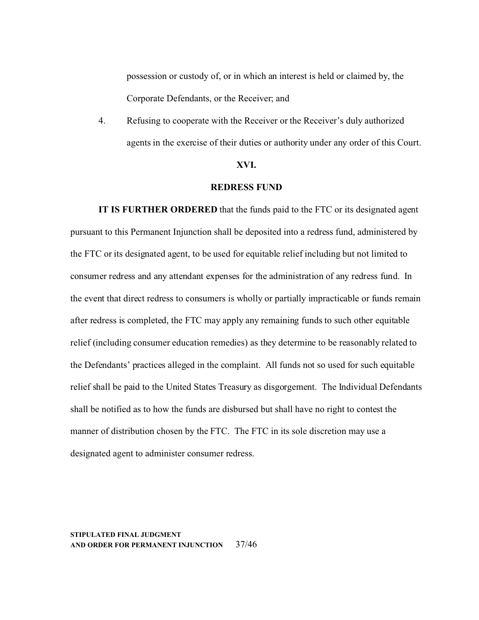possession or custody of, or in which an interest is held or claimed by, the Corporate Defendants, or the Receiver; and

4. Refusing to cooperate with the Receiver or the Receiver's duly authorized agents in the exercise of their duties or authority under any order of this Court.

#### **XVI.**

# **REDRESS FUND**

**IT IS FURTHER ORDERED** that the funds paid to the FTC or its designated agent pursuant to this Permanent Injunction shall be deposited into a redress fund, administered by the FTC or its designated agent, to be used for equitable relief including but not limited to consumer redress and any attendant expenses for the administration of any redress fund. In the event that direct redress to consumers is wholly or partially impracticable or funds remain after redress is completed, the FTC may apply any remaining funds to such other equitable relief (including consumer education remedies) as they determine to be reasonably related to the Defendants' practices alleged in the complaint. All funds not so used for such equitable relief shall be paid to the United States Treasury as disgorgement. The Individual Defendants shall be notified as to how the funds are disbursed but shall have no right to contest the manner of distribution chosen by the FTC. The FTC in its sole discretion may use a designated agent to administer consumer redress.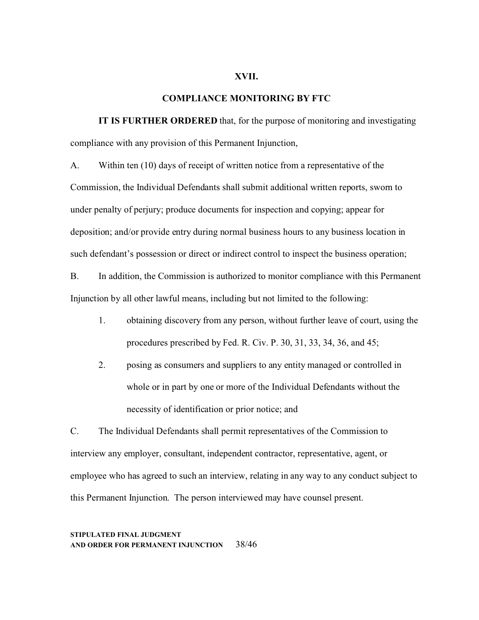#### **XVII.**

#### **COMPLIANCE MONITORING BY FTC**

**IT IS FURTHER ORDERED** that, for the purpose of monitoring and investigating compliance with any provision of this Permanent Injunction,

A. Within ten (10) days of receipt of written notice from a representative of the Commission, the Individual Defendants shall submit additional written reports, sworn to under penalty of perjury; produce documents for inspection and copying; appear for deposition; and/or provide entry during normal business hours to any business location in such defendant's possession or direct or indirect control to inspect the business operation;

B. In addition, the Commission is authorized to monitor compliance with this Permanent Injunction by all other lawful means, including but not limited to the following:

- 1. obtaining discovery from any person, without further leave of court, using the procedures prescribed by Fed. R. Civ. P. 30, 31, 33, 34, 36, and 45;
- 2. posing as consumers and suppliers to any entity managed or controlled in whole or in part by one or more of the Individual Defendants without the necessity of identification or prior notice; and

C. The Individual Defendants shall permit representatives of the Commission to interview any employer, consultant, independent contractor, representative, agent, or employee who has agreed to such an interview, relating in any way to any conduct subject to this Permanent Injunction. The person interviewed may have counsel present.

## **STIPULATED FINAL JUDGMENT AND ORDER FOR PERMANENT INJUNCTION** 38/46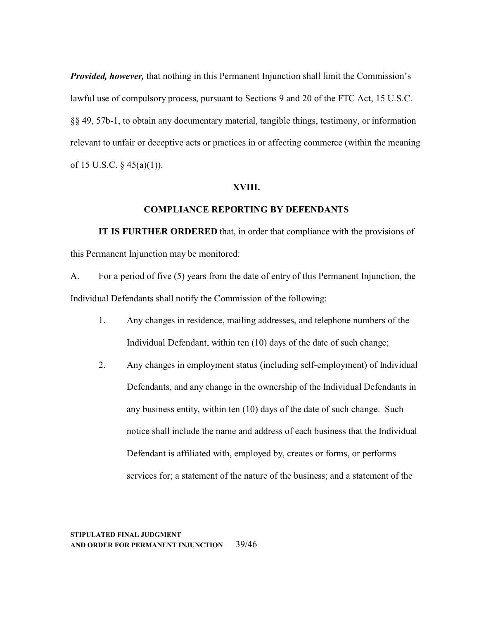*Provided, however,* that nothing in this Permanent Injunction shall limit the Commission's lawful use of compulsory process, pursuant to Sections 9 and 20 of the FTC Act, 15 U.S.C. §§ 49, 57b-1, to obtain any documentary material, tangible things, testimony, or information relevant to unfair or deceptive acts or practices in or affecting commerce (within the meaning of 15 U.S.C.  $\S$  45(a)(1)).

# **XVIII.**

#### **COMPLIANCE REPORTING BY DEFENDANTS**

**IT IS FURTHER ORDERED** that, in order that compliance with the provisions of this Permanent Injunction may be monitored:

A. For a period of five (5) years from the date of entry of this Permanent Injunction, the Individual Defendants shall notify the Commission of the following:

- 1. Any changes in residence, mailing addresses, and telephone numbers of the Individual Defendant, within ten (10) days of the date of such change;
- 2. Any changes in employment status (including self-employment) of Individual Defendants, and any change in the ownership of the Individual Defendants in any business entity, within ten (10) days of the date of such change. Such notice shall include the name and address of each business that the Individual Defendant is affiliated with, employed by, creates or forms, or performs services for; a statement of the nature of the business; and a statement of the

## **STIPULATED FINAL JUDGMENT AND ORDER FOR PERMANENT INJUNCTION** 39/46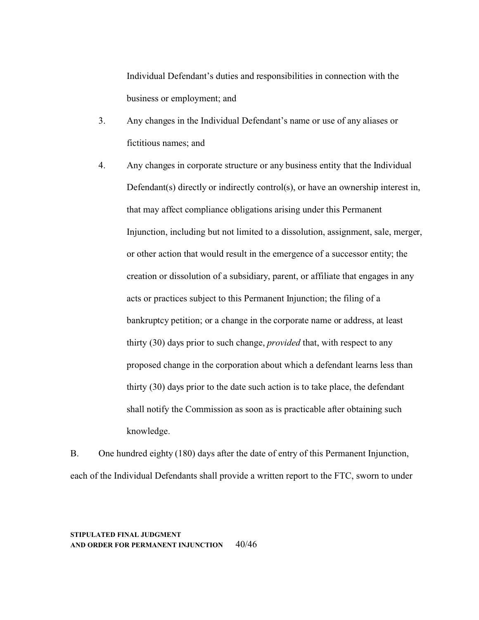Individual Defendant's duties and responsibilities in connection with the business or employment; and

- 3. Any changes in the Individual Defendant's name or use of any aliases or fictitious names; and
- 4. Any changes in corporate structure or any business entity that the Individual Defendant(s) directly or indirectly control(s), or have an ownership interest in, that may affect compliance obligations arising under this Permanent Injunction, including but not limited to a dissolution, assignment, sale, merger, or other action that would result in the emergence of a successor entity; the creation or dissolution of a subsidiary, parent, or affiliate that engages in any acts or practices subject to this Permanent Injunction; the filing of a bankruptcy petition; or a change in the corporate name or address, at least thirty (30) days prior to such change, *provided* that, with respect to any proposed change in the corporation about which a defendant learns less than thirty (30) days prior to the date such action is to take place, the defendant shall notify the Commission as soon as is practicable after obtaining such knowledge.

B. One hundred eighty (180) days after the date of entry of this Permanent Injunction, each of the Individual Defendants shall provide a written report to the FTC, sworn to under

**STIPULATED FINAL JUDGMENT AND ORDER FOR PERMANENT INJUNCTION** 40/46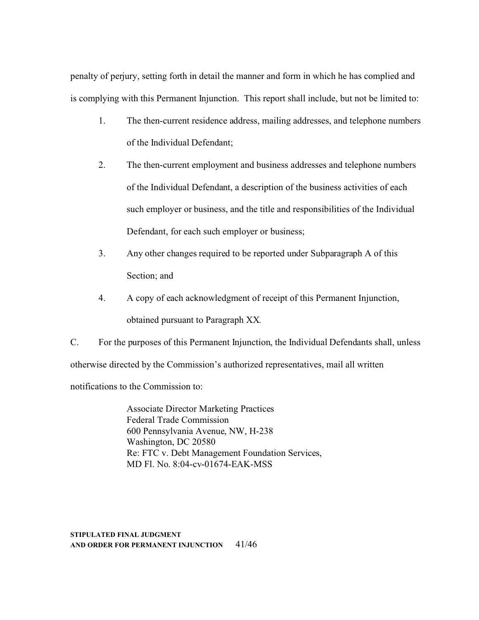penalty of perjury, setting forth in detail the manner and form in which he has complied and is complying with this Permanent Injunction. This report shall include, but not be limited to:

- 1. The then-current residence address, mailing addresses, and telephone numbers of the Individual Defendant;
- 2. The then-current employment and business addresses and telephone numbers of the Individual Defendant, a description of the business activities of each such employer or business, and the title and responsibilities of the Individual Defendant, for each such employer or business;
- 3. Any other changes required to be reported under Subparagraph A of this Section; and
- 4. A copy of each acknowledgment of receipt of this Permanent Injunction, obtained pursuant to Paragraph XX*.*

C. For the purposes of this Permanent Injunction, the Individual Defendants shall, unless otherwise directed by the Commission's authorized representatives, mail all written notifications to the Commission to:

> Associate Director Marketing Practices Federal Trade Commission 600 Pennsylvania Avenue, NW, H-238 Washington, DC 20580 Re: FTC v. Debt Management Foundation Services, MD Fl. No. 8:04-cv-01674-EAK-MSS

**STIPULATED FINAL JUDGMENT AND ORDER FOR PERMANENT INJUNCTION** 41/46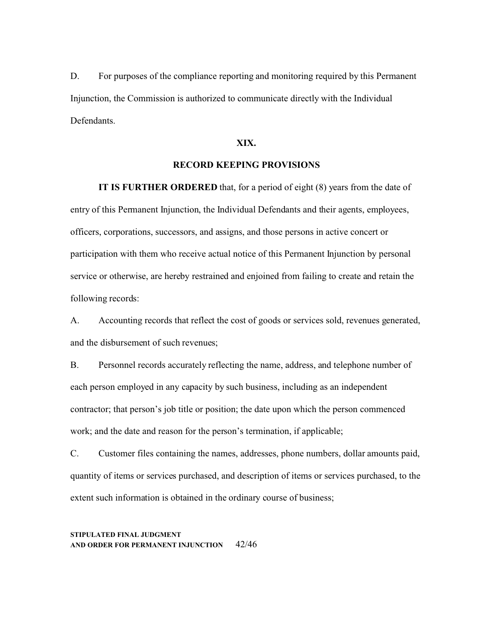D. For purposes of the compliance reporting and monitoring required by this Permanent Injunction, the Commission is authorized to communicate directly with the Individual Defendants.

## **XIX.**

# **RECORD KEEPING PROVISIONS**

**IT IS FURTHER ORDERED** that, for a period of eight (8) years from the date of entry of this Permanent Injunction, the Individual Defendants and their agents, employees, officers, corporations, successors, and assigns, and those persons in active concert or participation with them who receive actual notice of this Permanent Injunction by personal service or otherwise, are hereby restrained and enjoined from failing to create and retain the following records:

A. Accounting records that reflect the cost of goods or services sold, revenues generated, and the disbursement of such revenues;

B. Personnel records accurately reflecting the name, address, and telephone number of each person employed in any capacity by such business, including as an independent contractor; that person's job title or position; the date upon which the person commenced work; and the date and reason for the person's termination, if applicable;

C. Customer files containing the names, addresses, phone numbers, dollar amounts paid, quantity of items or services purchased, and description of items or services purchased, to the extent such information is obtained in the ordinary course of business;

## **STIPULATED FINAL JUDGMENT AND ORDER FOR PERMANENT INJUNCTION** 42/46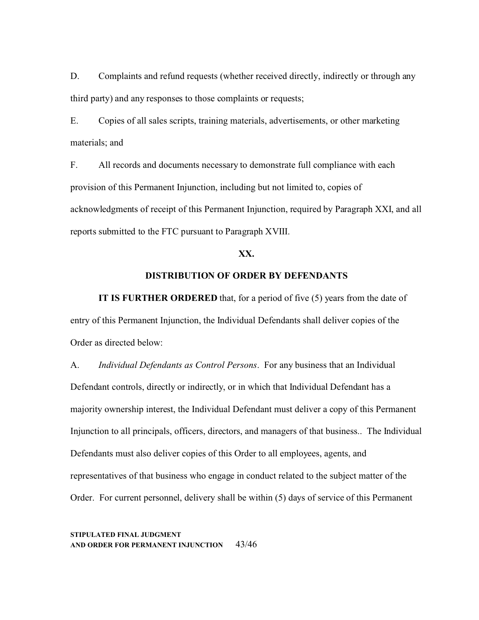D. Complaints and refund requests (whether received directly, indirectly or through any third party) and any responses to those complaints or requests;

E. Copies of all sales scripts, training materials, advertisements, or other marketing materials; and

F. All records and documents necessary to demonstrate full compliance with each provision of this Permanent Injunction, including but not limited to, copies of acknowledgments of receipt of this Permanent Injunction, required by Paragraph XXI, and all reports submitted to the FTC pursuant to Paragraph XVIII.

# **XX.**

# **DISTRIBUTION OF ORDER BY DEFENDANTS**

**IT IS FURTHER ORDERED** that, for a period of five (5) years from the date of entry of this Permanent Injunction, the Individual Defendants shall deliver copies of the Order as directed below:

A. *Individual Defendants as Control Persons*. For any business that an Individual Defendant controls, directly or indirectly, or in which that Individual Defendant has a majority ownership interest, the Individual Defendant must deliver a copy of this Permanent Injunction to all principals, officers, directors, and managers of that business.. The Individual Defendants must also deliver copies of this Order to all employees, agents, and representatives of that business who engage in conduct related to the subject matter of the Order. For current personnel, delivery shall be within (5) days of service of this Permanent

**STIPULATED FINAL JUDGMENT AND ORDER FOR PERMANENT INJUNCTION** 43/46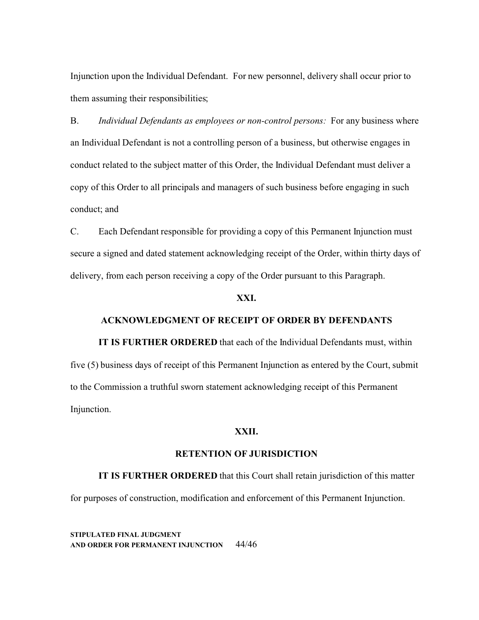Injunction upon the Individual Defendant. For new personnel, delivery shall occur prior to them assuming their responsibilities;

B. *Individual Defendants as employees or non-control persons:* For any business where an Individual Defendant is not a controlling person of a business, but otherwise engages in conduct related to the subject matter of this Order, the Individual Defendant must deliver a copy of this Order to all principals and managers of such business before engaging in such conduct; and

C. Each Defendant responsible for providing a copy of this Permanent Injunction must secure a signed and dated statement acknowledging receipt of the Order, within thirty days of delivery, from each person receiving a copy of the Order pursuant to this Paragraph.

# **XXI.**

# **ACKNOWLEDGMENT OF RECEIPT OF ORDER BY DEFENDANTS**

**IT IS FURTHER ORDERED** that each of the Individual Defendants must, within five (5) business days of receipt of this Permanent Injunction as entered by the Court, submit to the Commission a truthful sworn statement acknowledging receipt of this Permanent Injunction.

# **XXII.**

# **RETENTION OF JURISDICTION**

**IT IS FURTHER ORDERED** that this Court shall retain jurisdiction of this matter for purposes of construction, modification and enforcement of this Permanent Injunction.

**STIPULATED FINAL JUDGMENT AND ORDER FOR PERMANENT INJUNCTION** 44/46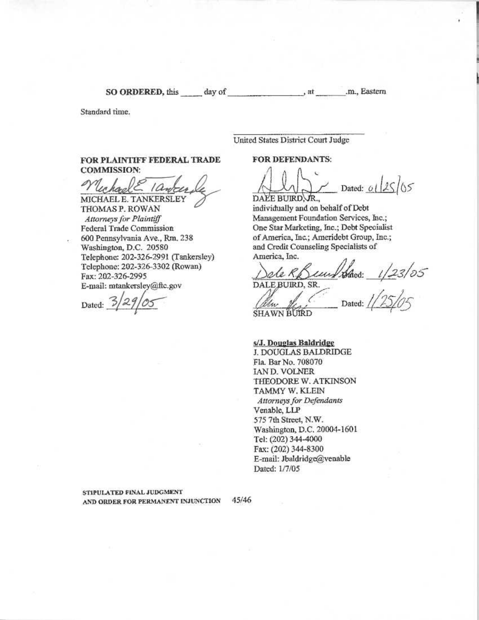SO ORDERED, this day of

.m., Eastern

Standard time.

United States District Court Judge

, at

FOR PLAINTIFF FEDERAL TRADE **COMMISSION:** 

MICHAEL E. TANKERSLEY

THOMAS P. ROWAN Attorneys for Plaintiff Federal Trade Commission 600 Pennsylvania Ave., Rm. 238 Washington, D.C. 20580 Telephone: 202-326-2991 (Tankersley) Telephone: 202-326-3302 (Rowan) Fax: 202-326-2995 E-mail: mtankersley@ftc.gov

Dated:  $\frac{3}{2}$ 

**FOR DEFENDANTS:** 

 $25105$ Dated: 0 DALE BUIRD, JR.,

individually and on behalf of Debt Management Foundation Services, Inc.; One Star Marketing, Inc.; Debt Specialist of America, Inc.; Ameridebt Group, Inc.; and Credit Counseling Specialists of America, Inc.

le RSunt Sacs:  $1/23/05$ DALE BUIRD, SR.

Dated: **SHAWN BUIRD** 

s/J. Douglas Baldridge J. DOUGLAS BALDRIDGE Fla. Bar No. 708070 IAN D. VOLNER THEODORE W. ATKINSON TAMMY W. KLEIN Attorneys for Defendants Venable, LLP 575 7th Street, N.W. Washington, D.C. 20004-1601 Tel: (202) 344-4000 Fax: (202) 344-8300 E-mail: Jbaldridge@venable

STIPULATED FINAL JUDGMENT AND ORDER FOR PERMANENT INJUNCTION

45/46

Dated: 1/7/05